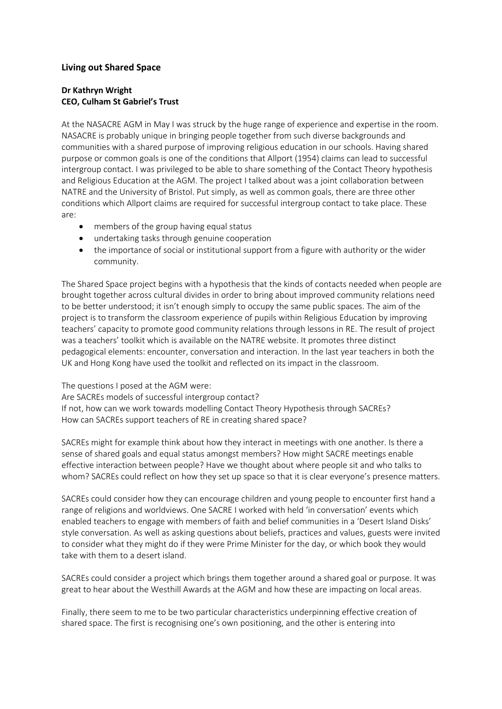## **Living out Shared Space**

## **Dr Kathryn Wright CEO, Culham St Gabriel's Trust**

At the NASACRE AGM in May I was struck by the huge range of experience and expertise in the room. NASACRE is probably unique in bringing people together from such diverse backgrounds and communities with a shared purpose of improving religious education in our schools. Having shared purpose or common goals is one of the conditions that Allport (1954) claims can lead to successful intergroup contact. I was privileged to be able to share something of the Contact Theory hypothesis and Religious Education at the AGM. The project I talked about was a joint collaboration between NATRE and the University of Bristol. Put simply, as well as common goals, there are three other conditions which Allport claims are required for successful intergroup contact to take place. These are:

- members of the group having equal status
- undertaking tasks through genuine cooperation
- the importance of social or institutional support from a figure with authority or the wider community.

The Shared Space project begins with a hypothesis that the kinds of contacts needed when people are brought together across cultural divides in order to bring about improved community relations need to be better understood; it isn't enough simply to occupy the same public spaces. The aim of the project is to transform the classroom experience of pupils within Religious Education by improving teachers' capacity to promote good community relations through lessons in RE. The result of project was a teachers' toolkit which is available on the NATRE website. It promotes three distinct pedagogical elements: encounter, conversation and interaction. In the last year teachers in both the UK and Hong Kong have used the toolkit and reflected on its impact in the classroom.

The questions I posed at the AGM were: Are SACREs models of successful intergroup contact? If not, how can we work towards modelling Contact Theory Hypothesis through SACREs? How can SACREs support teachers of RE in creating shared space?

SACREs might for example think about how they interact in meetings with one another. Is there a sense of shared goals and equal status amongst members? How might SACRE meetings enable effective interaction between people? Have we thought about where people sit and who talks to whom? SACREs could reflect on how they set up space so that it is clear everyone's presence matters.

SACREs could consider how they can encourage children and young people to encounter first hand a range of religions and worldviews. One SACRE I worked with held 'in conversation' events which enabled teachers to engage with members of faith and belief communities in a 'Desert Island Disks' style conversation. As well as asking questions about beliefs, practices and values, guests were invited to consider what they might do if they were Prime Minister for the day, or which book they would take with them to a desert island.

SACREs could consider a project which brings them together around a shared goal or purpose. It was great to hear about the Westhill Awards at the AGM and how these are impacting on local areas.

Finally, there seem to me to be two particular characteristics underpinning effective creation of shared space. The first is recognising one's own positioning, and the other is entering into